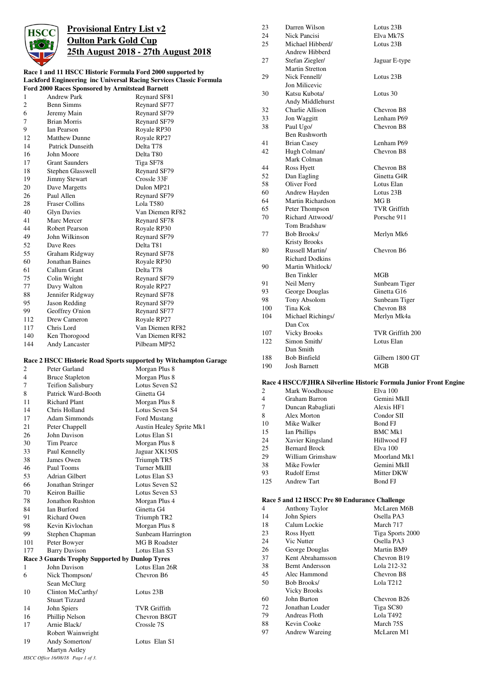

## **Provisional Entry List v2 Oulton Park Gold Cup 25th August 2018 - 27th August 2018**

#### **Race 1 and 11 HSCC Historic Formula Ford 2000 supported by Lackford Engineering inc Universal Racing Services Classic Formula Ford 2000 Races Sponsored by Armitstead Barnett**

|     | F01 a 2000 Kaces Sponsored by Armitstead Barnett |                       |
|-----|--------------------------------------------------|-----------------------|
| 1   | <b>Andrew Park</b>                               | Reynard SF81          |
| 2   | <b>Benn Simms</b>                                | Reynard SF77          |
| 6   | Jeremy Main                                      | Reynard SF79          |
| 7   | <b>Brian Morris</b>                              | Reynard SF79          |
| 9   | <b>Ian Pearson</b>                               | Royale RP30           |
| 12  | <b>Matthew Dunne</b>                             | Royale RP27           |
| 14  | Patrick Dunseith                                 | Delta T78             |
| 16  | John Moore                                       | Delta T <sub>80</sub> |
| 17  | <b>Grant Saunders</b>                            | Tiga SF78             |
| 18  | Stephen Glasswell                                | Reynard SF79          |
| 19  | <b>Jimmy Stewart</b>                             | Crossle 33F           |
| 20  | Dave Margetts                                    | Dulon MP21            |
| 26  | Paul Allen                                       | Reynard SF79          |
| 28  | <b>Fraser Collins</b>                            | Lola T580             |
| 40  | <b>Glyn Davies</b>                               | Van Diemen RF82       |
| 41  | Marc Mercer                                      | Reynard SF78          |
| 44  | Robert Pearson                                   | Royale RP30           |
| 49  | John Wilkinson                                   | Reynard SF79          |
| 52  | Dave Rees                                        | Delta T81             |
| 55  | Graham Ridgway                                   | Reynard SF78          |
| 60  | Jonathan Baines                                  | Royale RP30           |
| 61  | Callum Grant                                     | Delta T78             |
| 75  | Colin Wright                                     | Reynard SF79          |
| 77  | Davy Walton                                      | Royale RP27           |
| 88  | Jennifer Ridgway                                 | Reynard SF78          |
| 95  | Jason Redding                                    | Reynard SF79          |
| 99  | Geoffrey O'nion                                  | Reynard SF77          |
| 112 | Drew Cameron                                     | Royale RP27           |
| 117 | Chris Lord                                       | Van Diemen RF82       |
| 140 | Ken Thorogood                                    | Van Diemen RF82       |
| 144 | <b>Andy Lancaster</b>                            | Pilbeam MP52          |

#### **Race 2 HSCC Historic Road Sports supported by Witchampton Garage**

| $\overline{\mathbf{c}}$ | Peter Garland                                         | Morgan Plus 8            |
|-------------------------|-------------------------------------------------------|--------------------------|
| $\overline{4}$          | <b>Bruce Stapleton</b>                                | Morgan Plus 8            |
| 7                       | <b>Teifion Salisbury</b>                              | Lotus Seven S2           |
| 8                       | Patrick Ward-Booth                                    | Ginetta G4               |
| 11                      | Richard Plant                                         | Morgan Plus 8            |
| 14                      | Chris Holland                                         | Lotus Seven S4           |
| 17                      | <b>Adam Simmonds</b>                                  | Ford Mustang             |
| 21                      | Peter Chappell                                        | Austin Healey Sprite Mk1 |
| 26                      | John Davison                                          | Lotus Elan S1            |
| 30                      | Tim Pearce                                            | Morgan Plus 8            |
| 33                      | Paul Kennelly                                         | Jaguar XK150S            |
| 38                      | James Owen                                            | Triumph TR5              |
| 46                      | Paul Tooms                                            | Turner MkIII             |
| 53                      | Adrian Gilbert                                        | Lotus Elan S3            |
| 66                      | Jonathan Stringer                                     | Lotus Seven S2           |
| 70                      | Keiron Baillie                                        | Lotus Seven S3           |
| 78                      | <b>Jonathon Rushton</b>                               | Morgan Plus 4            |
| 84                      | <b>Ian Burford</b>                                    | Ginetta G4               |
| 91                      | Richard Owen                                          | Triumph TR2              |
| 98                      | Kevin Kivlochan                                       | Morgan Plus 8            |
| 99                      | Stephen Chapman                                       | Sunbeam Harrington       |
| 101                     | Peter Bowyer                                          | <b>MG B Roadster</b>     |
| 177                     | <b>Barry Davison</b>                                  | Lotus Elan S3            |
|                         | <b>Race 3 Guards Trophy Supported by Dunlop Tyres</b> |                          |
| 1                       | John Davison                                          | Lotus Elan 26R           |
| 6                       | Nick Thompson/                                        | Chevron B6               |
|                         | Sean McClurg                                          |                          |
| 10                      | Clinton McCarthy/                                     | Lotus 23B                |
|                         | Stuart Tizzard                                        |                          |
| 14                      | John Spiers                                           | <b>TVR</b> Griffith      |
| 16                      | Phillip Nelson                                        | Chevron B8GT             |
| 17                      | Arnie Black/                                          | Crossle 7S               |
|                         | Robert Wainwright                                     |                          |
| 19                      | Andy Somerton/                                        | Lotus Elan S1            |
|                         | Martyn Astley                                         |                          |
|                         | HSCC Office 16/08/18 Page 1 of 3.                     |                          |

| 23  | Darren Wilson          | Lotus 23B           |
|-----|------------------------|---------------------|
| 24  | <b>Nick Pancisi</b>    | Elva Mk7S           |
| 25  | Michael Hibberd/       | Lotus 23B           |
|     | Andrew Hibberd         |                     |
| 27  | Stefan Ziegler/        | Jaguar E-type       |
|     | <b>Martin Stretton</b> |                     |
| 29  | Nick Fennell/          | Lotus 23B           |
|     | Jon Milicevic          |                     |
| 30  | Katsu Kubota/          | Lotus 30            |
|     | Andy Middlehurst       |                     |
| 32  | Charlie Allison        | Chevron B8          |
| 33  | Jon Waggitt            | Lenham P69          |
| 38  | Paul Ugo/              | Chevron B8          |
|     | <b>Ben Rushworth</b>   |                     |
| 41  | <b>Brian Casey</b>     | Lenham P69          |
| 42  | Hugh Colman/           | Chevron B8          |
|     | Mark Colman            |                     |
| 44  | Ross Hyett             | Chevron B8          |
| 52  | Dan Eagling            | Ginetta G4R         |
| 58  | Oliver Ford            | Lotus Elan          |
| 60  | Andrew Hayden          | Lotus 23B           |
| 64  | Martin Richardson      | MGB                 |
| 65  | Peter Thompson         | <b>TVR Griffith</b> |
| 70  | Richard Attwood/       | Porsche 911         |
|     | Tom Bradshaw           |                     |
| 77  | <b>Bob Brooks/</b>     | Merlyn Mk6          |
|     | <b>Kristy Brooks</b>   |                     |
| 80  | Russell Martin/        | Chevron B6          |
|     | <b>Richard Dodkins</b> |                     |
| 90  | Martin Whitlock/       |                     |
|     | Ben Tinkler            | MGB                 |
| 91  | Neil Merry             | Sunbeam Tiger       |
| 93  | George Douglas         | Ginetta G16         |
| 98  | Tony Absolom           | Sunbeam Tiger       |
| 100 | Tina Kok               | Chevron B8          |
| 104 | Michael Richings/      | Merlyn Mk4a         |
|     | Dan Cox                |                     |
| 107 | <b>Vicky Brooks</b>    | TVR Griffith 200    |
| 122 | Simon Smith/           | Lotus Elan          |
|     | Dan Smith              |                     |
| 188 | <b>Bob Binfield</b>    | Gilbern 1800 GT     |
| 190 | <b>Josh Barnett</b>    | MGB                 |
|     |                        |                     |

### **Race 4 HSCC/FJHRA Silverline Historic Formula Junior Front Engine**

|     | касс ¬ пэссл ,лика энустике тимоге гогиша ,јuш |                |
|-----|------------------------------------------------|----------------|
| 2   | Mark Woodhouse                                 | Elva 100       |
| 4   | Graham Barron                                  | Gemini MkII    |
| 7   | Duncan Rabagliati                              | Alexis HF1     |
| 8   | Alex Morton                                    | Condor SII     |
| 10  | Mike Walker                                    | Bond FJ        |
| 15  | Ian Phillips                                   | <b>BMC Mk1</b> |
| 24  | Xavier Kingsland                               | Hillwood FJ    |
| 25  | <b>Bernard Brock</b>                           | Elva 100       |
| 29  | William Grimshaw                               | Moorland Mk1   |
| 38  | Mike Fowler                                    | Gemini MkII    |
| 93  | <b>Rudolf Ernst</b>                            | Mitter DKW     |
| 125 | <b>Andrew Tart</b>                             | Bond FJ        |

#### **Race 5 and 12 HSCC Pre 80 Endurance Challenge**

| 4  | <b>Anthony Taylor</b> | McLaren M6B      |
|----|-----------------------|------------------|
| 14 | John Spiers           | Osella PA3       |
| 18 | Calum Lockie          | March 717        |
| 23 | Ross Hyett            | Tiga Sports 2000 |
| 24 | Vic Nutter            | Osella PA3       |
| 26 | George Douglas        | Martin BM9       |
| 37 | Kent Abrahamsson      | Chevron B19      |
| 38 | Bernt Andersson       | Lola 212-32      |
| 45 | Alec Hammond          | Chevron B8       |
| 50 | Bob Brooks/           | Lola T212        |
|    | <b>Vicky Brooks</b>   |                  |
| 60 | John Burton           | Chevron B26      |
| 72 | Jonathan Loader       | Tiga SC80        |
| 79 | Andreas Floth         | Lola T492        |
| 88 | Kevin Cooke           | March 75S        |
| 97 | <b>Andrew Wareing</b> | McLaren M1       |
|    |                       |                  |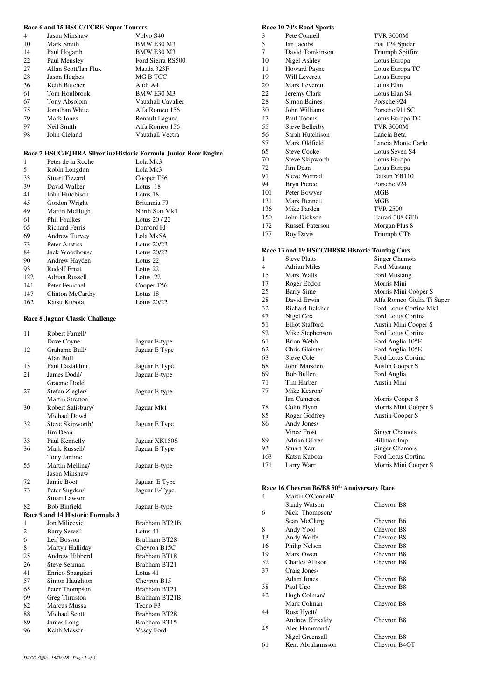#### **Race 6 and 15 HSCC/TCRE Super Tourers**

| 4  | Jason Minshaw        | Volvo S40         |
|----|----------------------|-------------------|
| 10 | Mark Smith           | <b>BMW E30 M3</b> |
| 14 | Paul Hogarth         | <b>BMW E30 M3</b> |
| 22 | Paul Mensley         | Ford Sierra RS500 |
| 27 | Allan Scott/Ian Flux | Mazda 323F        |
| 28 | Jason Hughes         | MG B TCC          |
| 36 | Keith Butcher        | Audi A4           |
| 61 | Tom Houlbrook        | <b>BMW E30 M3</b> |
| 67 | Tony Absolom         | Vauxhall Cavalier |
| 75 | Jonathan White       | Alfa Romeo 156    |
| 79 | Mark Jones           | Renault Laguna    |
| 97 | Neil Smith           | Alfa Romeo 156    |
| 98 | John Cleland         | Vauxhall Vectra   |

#### **Race 7 HSCC/FJHRA SilverlineHistoric Formula Junior Rear Engine**

| 1   | Peter de la Roche     | Lola Mk3       |
|-----|-----------------------|----------------|
| 5   | Robin Longdon         | Lola Mk3       |
| 33  | <b>Stuart Tizzard</b> | Cooper T56     |
| 39  | David Walker          | Lotus 18       |
| 41  | John Hutchison        | Lotus 18       |
| 45  | Gordon Wright         | Britannia FJ   |
| 49  | Martin McHugh         | North Star Mk1 |
| 61  | Phil Foulkes          | Lotus $20/22$  |
| 65  | <b>Richard Ferris</b> | Donford FJ     |
| 69  | <b>Andrew Turvey</b>  | Lola Mk5A      |
| 73  | Peter Anstiss         | Lotus 20/22    |
| 84  | Jack Woodhouse        | Lotus $20/22$  |
| 90  | Andrew Hayden         | Lotus 22       |
| 93  | <b>Rudolf Ernst</b>   | Lotus 22       |
| 122 | <b>Adrian Russell</b> | Lotus 22       |
| 141 | Peter Fenichel        | Cooper T56     |
| 147 | Clinton McCarthy      | Lotus 18       |
| 162 | Katsu Kubota          | Lotus 20/22    |

#### **Race 8 Jaguar Classic Challenge**

| 11             | Robert Farrell/                  |                     |
|----------------|----------------------------------|---------------------|
|                | Dave Coyne                       | Jaguar E-type       |
| 12             | Grahame Bull/                    | Jaguar E Type       |
|                | Alan Bull                        |                     |
| 15             | Paul Castaldini                  | Jaguar E Type       |
| 21             | James Dodd/                      | Jaguar E-type       |
|                | Graeme Dodd                      |                     |
| 27             | Stefan Ziegler/                  | Jaguar E-type       |
|                | Martin Stretton                  |                     |
| 30             | Robert Salisbury/                | Jaguar Mk1          |
|                | Michael Dowd                     |                     |
| 32             | Steve Skipworth/                 | Jaguar E Type       |
|                | Jim Dean                         |                     |
| 33             | Paul Kennelly                    | Jaguar XK150S       |
| 36             | Mark Russell/                    | Jaguar E Type       |
|                | Tony Jardine                     |                     |
| 55             | Martin Melling/                  | Jaguar E-type       |
|                | <b>Jason Minshaw</b>             |                     |
| 72             | Jamie Boot                       | Jaguar E Type       |
| 73             | Peter Sugden/                    | Jaguar E-Type       |
|                | <b>Stuart Lawson</b>             |                     |
| 82             | <b>Bob Binfield</b>              | Jaguar E-type       |
|                | Race 9 and 14 Historic Formula 3 |                     |
| 1              | Jon Milicevic                    | Brabham BT21B       |
| $\overline{c}$ | <b>Barry Sewell</b>              | Lotus 41            |
| 6              | Leif Bosson                      | Brabham BT28        |
| 8              | Martyn Halliday                  | Chevron B15C        |
| 25             | Andrew Hibberd                   | Brabham BT18        |
| 26             | <b>Steve Seaman</b>              | Brabham BT21        |
| 41             | Enrico Spaggiari                 | Lotus 41            |
| 57             | Simon Haughton                   | Chevron B15         |
| 65             | Peter Thompson                   | Brabham BT21        |
| 69             | Greg Thruston                    | Brabham BT21B       |
| 82             | <b>Marcus Mussa</b>              | Tecno <sub>F3</sub> |
| 88             | <b>Michael Scott</b>             | Brabham BT28        |
| 89             | James Long                       | Brabham BT15        |
| 96             | Keith Messer                     | Vesey Ford          |
|                |                                  |                     |

# **Race 10 70's Road Sports**

| 3   | Pete Connell            | <b>TVR 3000M</b>   |
|-----|-------------------------|--------------------|
| 5   | <b>Ian Jacobs</b>       | Fiat 124 Spider    |
| 7   | David Tomkinson         | Triumph Spitfire   |
| 10  | Nigel Ashley            | Lotus Europa       |
| 11  | <b>Howard Payne</b>     | Lotus Europa TC    |
| 19  | Will Leverett           | Lotus Europa       |
| 20  | Mark Leverett           | Lotus Elan         |
| 22  | Jeremy Clark            | Lotus Elan S4      |
| 28  | <b>Simon Baines</b>     | Porsche 924        |
| 30  | John Williams           | Porsche 911SC      |
| 47  | Paul Tooms              | Lotus Europa TC    |
| 55  | Steve Bellerby          | <b>TVR 3000M</b>   |
| 56  | Sarah Hutchison         | Lancia Beta        |
| 57  | Mark Oldfield           | Lancia Monte Carlo |
| 65  | <b>Steve Cooke</b>      | Lotus Seven S4     |
| 70  | Steve Skipworth         | Lotus Europa       |
| 72  | Jim Dean                | Lotus Europa       |
| 91  | Steve Worrad            | Datsun YB110       |
| 94  | <b>Bryn Pierce</b>      | Porsche 924        |
| 101 | Peter Bowyer            | <b>MGB</b>         |
| 131 | Mark Bennett            | <b>MGB</b>         |
| 136 | Mike Parden             | <b>TVR 2500</b>    |
| 150 | John Dickson            | Ferrari 308 GTB    |
| 172 | <b>Russell Paterson</b> | Morgan Plus 8      |
| 177 | Roy Davis               | Triumph GT6        |
|     |                         |                    |
|     |                         |                    |

#### **Race 13 and 19 HSCC/HRSR Historic Touring Cars**

| 1   | <b>Steve Platts</b>    | Singer Chamois             |
|-----|------------------------|----------------------------|
| 4   | <b>Adrian Miles</b>    | Ford Mustang               |
| 15  | Mark Watts             | Ford Mustang               |
| 17  | Roger Ebdon            | Morris Mini                |
| 25  | Barry Sime             | Morris Mini Cooper S       |
| 28  | David Erwin            | Alfa Romeo Giulia Ti Super |
| 32  | <b>Richard Belcher</b> | Ford Lotus Cortina Mk1     |
| 47  | Nigel Cox              | Ford Lotus Cortina         |
| 51  | <b>Elliot Stafford</b> | Austin Mini Cooper S       |
| 52. | Mike Stephenson        | Ford Lotus Cortina         |
| 61  | Brian Webb             | Ford Anglia 105E           |
| 62  | Chris Glaister         | Ford Anglia 105E           |
| 63  | Steve Cole             | Ford Lotus Cortina         |
| 68  | John Marsden           | Austin Cooper S            |
| 69  | <b>Bob Bullen</b>      | Ford Anglia                |
| 71  | Tim Harber             | Austin Mini                |
| 77  | Mike Kearon/           |                            |
|     | <b>Ian Cameron</b>     | Morris Cooper S            |
| 78  | Colin Flynn            | Morris Mini Cooper S       |
| 85  | Roger Godfrey          | <b>Austin Cooper S</b>     |
| 86  | Andy Jones/            |                            |
|     | <b>Vince Frost</b>     | Singer Chamois             |
| 89  | Adrian Oliver          | Hillman Imp                |
| 93  | Stuart Kerr            | Singer Chamois             |
| 163 | Katsu Kubota           | Ford Lotus Cortina         |
| 171 | Larry Warr             | Morris Mini Cooper S       |

#### **Race 16 Chevron B6/B8 50th Anniversary Race**

| 4  | Martin O'Connell/      |              |
|----|------------------------|--------------|
|    | Sandy Watson           | Chevron B8   |
| 6  | Nick Thompson/         |              |
|    | Sean McClurg           | Chevron B6   |
| 8  | Andy Yool              | Chevron B8   |
| 13 | Andy Wolfe             | Chevron B8   |
| 16 | Philip Nelson          | Chevron B8   |
| 19 | Mark Owen              | Chevron B8   |
| 32 | <b>Charles Allison</b> | Chevron B8   |
| 37 | Craig Jones/           |              |
|    | Adam Jones             | Chevron B8   |
| 38 | Paul Ugo               | Chevron B8   |
| 42 | Hugh Colman/           |              |
|    | Mark Colman            | Chevron B8   |
| 44 | Ross Hyett/            |              |
|    | Andrew Kirkaldy        | Chevron B8   |
| 45 | Alec Hammond/          |              |
|    | Nigel Greensall        | Chevron B8   |
| 61 | Kent Abrahamsson       | Chevron B4GT |